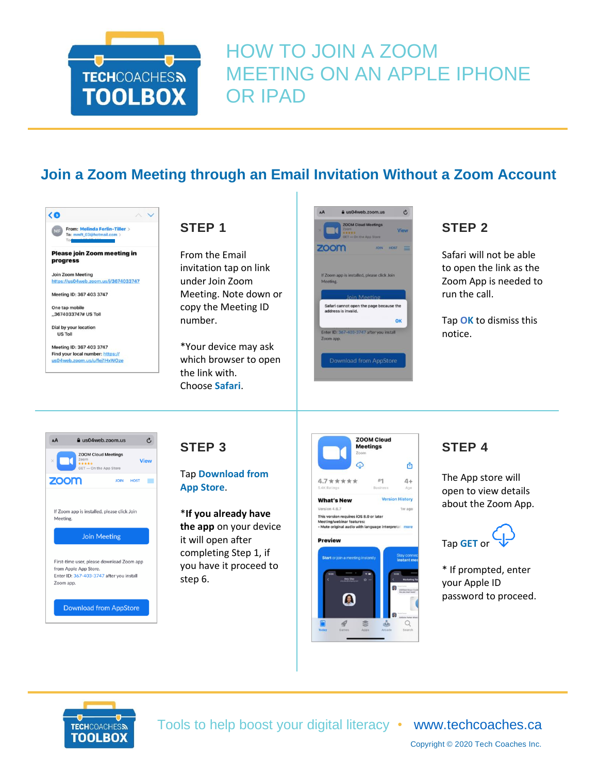

# HOW TO JOIN A ZOOM MEETING ON AN APPLE IPHONE OR IPAD

## **Join a Zoom Meeting through an Email Invitation Without a Zoom Account**

| From: Melinda Ferlin-Tiller ><br>MF<br>To: mmft_03@hotmail.com ><br>To |  |
|------------------------------------------------------------------------|--|
| Please join Zoom meeting in                                            |  |
| progress                                                               |  |
| <b>Join Zoom Meeting</b>                                               |  |
| https://us04web.zoom.us/i/3674033747                                   |  |
| Meeting ID: 367 403 3747                                               |  |
| One tap mobile                                                         |  |
| .,3674033747# US Toll                                                  |  |
| Dial by your location                                                  |  |
| <b>US Toll</b>                                                         |  |
| Meeting ID: 367 403 3747                                               |  |
| Find your local number: https://                                       |  |
| us04web.zoom.us/u/fei1HxWOze                                           |  |

#### **STEP 1**

From the Email invitation tap on link under Join Zoom Meeting. Note down or copy the Meeting ID number.

\*Your device may ask which browser to open the link with. Choose **Safari**.



## **STEP 2**

Safari will not be able to open the link as the Zoom App is needed to run the call.

Tap **OK** to dismiss this notice.



#### **STEP 3**

Tap **Download from App Store**.

\***If you already have the app** on your device it will open after completing Step 1, if you have it proceed to step 6.



## **STEP 4**

The App store will open to view details about the Zoom App.



\* If prompted, enter your Apple ID password to proceed.



Tools to help boost your digital literacy • [www.techcoaches.ca](http://www.techcoaches.ca/)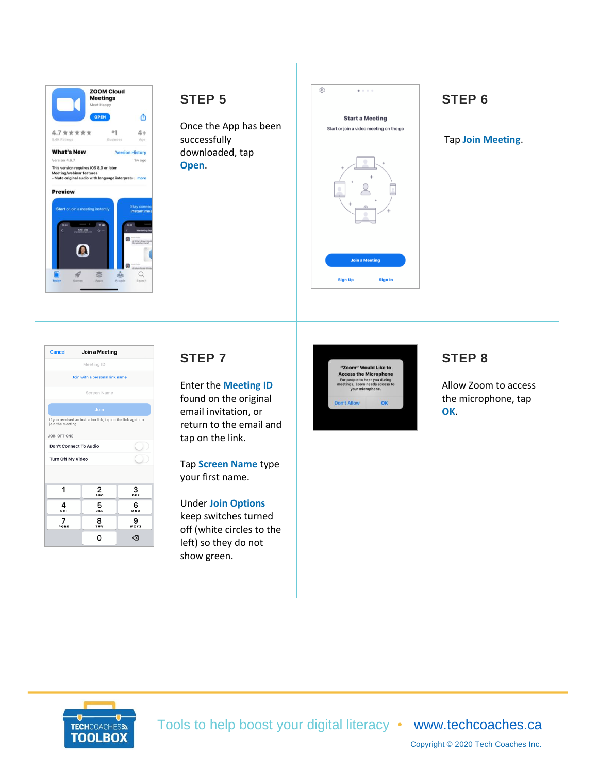

#### **STEP 5**

Once the App has been successfully downloaded, tap **Open**.



## **STEP 6**

Tap **Join Meeting**.

| <b>Cancel</b><br>Join a Meeting |                                                              |          |  |
|---------------------------------|--------------------------------------------------------------|----------|--|
| Meeting ID                      |                                                              |          |  |
| Join with a personal link name  |                                                              |          |  |
|                                 | Screen Name                                                  |          |  |
|                                 | Join                                                         |          |  |
| join the meeting                | If you received an invitation link, tap on the link again to |          |  |
| <b>JOIN OPTIONS</b>             |                                                              |          |  |
| <b>Don't Connect To Audio</b>   |                                                              |          |  |
| <b>Turn Off My Video</b>        |                                                              |          |  |
|                                 |                                                              |          |  |
| 1                               | 2<br><b>ABC</b>                                              | з<br>DEF |  |
| 4<br><b>GHI</b>                 | 5<br><b>JKL</b>                                              | 6<br>MNO |  |
| PQRS                            | 8<br>TUV                                                     | WXYZ     |  |
|                                 | O                                                            | ⊲ସ       |  |

#### **STEP 7**

Enter the **Meeting ID** found on the original email invitation, or return to the email and tap on the link.

Tap **Screen Name** type your first name.

Under **Join Options** keep switches turned off (white circles to the left) so they do not show green.



## **STEP 8**

Allow Zoom to access the microphone, tap **OK**.



Tools to help boost your digital literacy • [www.techcoaches.ca](http://www.techcoaches.ca/)